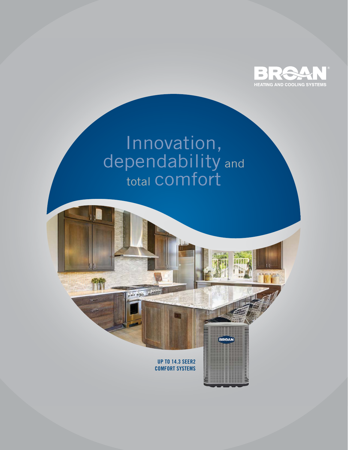

# Innovation, dependability and total COMfort

**UP TO 14.3 SEER2 COMFORT SYSTEMS** **BRGAN** 

感情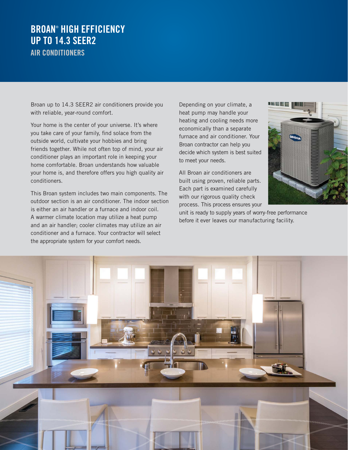### **BROAN**®  **HIGH EFFICIENCY UP TO 14.3 SEER2 AIR CONDITIONERS**

Broan up to 14.3 SEER2 air conditioners provide you with reliable, year-round comfort.

Your home is the center of your universe. It's where you take care of your family, find solace from the outside world, cultivate your hobbies and bring friends together. While not often top of mind, your air conditioner plays an important role in keeping your home comfortable. Broan understands how valuable your home is, and therefore offers you high quality air conditioners.

This Broan system includes two main components. The outdoor section is an air conditioner. The indoor section is either an air handler or a furnace and indoor coil. A warmer climate location may utilize a heat pump and an air handler; cooler climates may utilize an air conditioner and a furnace. Your contractor will select the appropriate system for your comfort needs.

Depending on your climate, a heat pump may handle your heating and cooling needs more economically than a separate furnace and air conditioner. Your Broan contractor can help you decide which system is best suited to meet your needs.

All Broan air conditioners are built using proven, reliable parts. Each part is examined carefully with our rigorous quality check process. This process ensures your



unit is ready to supply years of worry-free performance before it ever leaves our manufacturing facility.

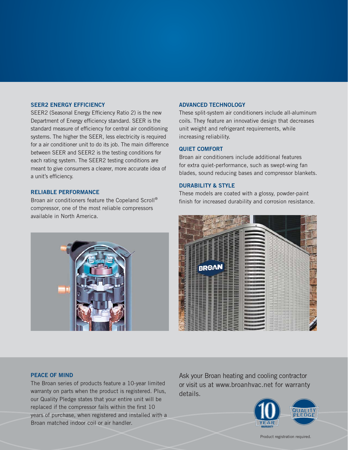#### **SEER2 ENERGY EFFICIENCY**

SEER2 (Seasonal Energy Efficiency Ratio 2) is the new Department of Energy efficiency standard. SEER is the standard measure of efficiency for central air conditioning systems. The higher the SEER, less electricity is required for a air conditioner unit to do its job. The main difference between SEER and SEER2 is the testing conditions for each rating system. The SEER2 testing conditions are meant to give consumers a clearer, more accurate idea of a unit's efficiency.

#### **RELIABLE PERFORMANCE**

Broan air conditioners feature the Copeland Scroll® compressor, one of the most reliable compressors available in North America.



#### **ADVANCED TECHNOLOGY**

These split-system air conditioners include all-aluminum coils. They feature an innovative design that decreases unit weight and refrigerant requirements, while increasing reliability.

#### **QUIET COMFORT**

Broan air conditioners include additional features for extra quiet-performance, such as swept-wing fan blades, sound reducing bases and compressor blankets.

#### **DURABILITY & STYLE**

These models are coated with a glossy, powder-paint finish for increased durability and corrosion resistance.



#### **PEACE OF MIND**

The Broan series of products feature a 10-year limited warranty on parts when the product is registered. Plus, our Quality Pledge states that your entire unit will be replaced if the compressor fails within the first 10 years of purchase, when registered and installed with a Broan matched indoor coil or air handler.

Ask your Broan heating and cooling contractor or visit us at www.broanhvac.net for warranty details.